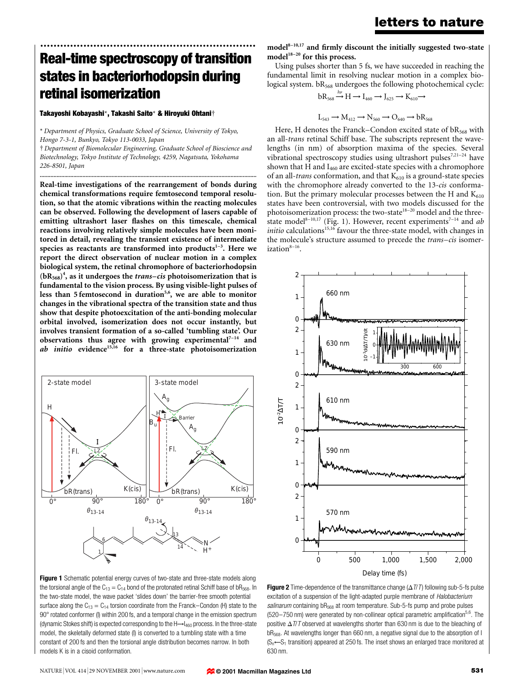# ................................................................. Real-time spectroscopy of transition states in bacteriorhodopsin during retinal isomerization

Takayoshi Kobayashi\*, Takashi Saito\* & Hiroyuki Ohtani²

\* Department of Physics, Graduate School of Science, University of Tokyo, Hongo 7-3-1, Bunkyo, Tokyo 113-0033, Japan

² Department of Biomolecular Engineering, Graduate School of Bioscience and Biotechnology, Tokyo Institute of Technology, 4259, Nagatsuta, Yokohama 226-8501, Japan ..............................................................................................................................................

Real-time investigations of the rearrangement of bonds during chemical transformations require femtosecond temporal resolution, so that the atomic vibrations within the reacting molecules can be observed. Following the development of lasers capable of emitting ultrashort laser flashes on this timescale, chemical reactions involving relatively simple molecules have been monitored in detail, revealing the transient existence of intermediate species as reactants are transformed into products $1-3$ . Here we report the direct observation of nuclear motion in a complex biological system, the retinal chromophore of bacteriorhodopsin  $(bR<sub>568</sub>)<sup>4</sup>$ , as it undergoes the *trans-cis* photoisomerization that is fundamental to the vision process. By using visible-light pulses of less than 5 femtosecond in duration<sup>5,6</sup>, we are able to monitor changes in the vibrational spectra of the transition state and thus show that despite photoexcitation of the anti-bonding molecular orbital involved, isomerization does not occur instantly, but involves transient formation of a so-called `tumbling state'. Our observations thus agree with growing experimental<sup>7-14</sup> and  $ab$  initio evidence<sup>15,16</sup> for a three-state photoisomerization



Figure 1 Schematic potential energy curves of two-state and three-state models along the torsional angle of the  $C_{13} = C_{14}$  bond of the protonated retinal Schiff base of bR<sub>568</sub>. In the two-state model, the wave packet 'slides down' the barrier-free smooth potential surface along the  $C_{13} = C_{14}$  torsion coordinate from the Franck-Condon (H) state to the 90° rotated conformer (I) within 200 fs, and a temporal change in the emission spectrum (dynamic Stokes shift) is expected corresponding to the  $H \rightarrow I_{460}$  process. In the three-state model, the skeletally deformed state (I) is converted to a tumbling state with a time constant of 200 fs and then the torsional angle distribution becomes narrow. In both models K is in a cisoid conformation.

 $model^{8-10,17}$  and firmly discount the initially suggested two-state model $18-20$  for this process.

Using pulses shorter than 5 fs, we have succeeded in reaching the fundamental limit in resolving nuclear motion in a complex biological system. bR<sub>568</sub> undergoes the following photochemical cycle:

$$
bR_{568} \xrightarrow{h\nu} H \to I_{460} \to J_{625} \to K_{610} \to
$$

 $L_{543} \rightarrow M_{412} \rightarrow N_{560} \rightarrow O_{640} \rightarrow bR_{568}$ 

Here, H denotes the Franck–Condon excited state of  $bR_{568}$  with an all-trans retinal Schiff base. The subscripts represent the wavelengths (in nm) of absorption maxima of the species. Several vibrational spectroscopy studies using ultrashort pulses<sup>7,21-24</sup> have shown that H and  $I_{460}$  are excited-state species with a chromophore of an all-trans conformation, and that  $K_{610}$  is a ground-state species with the chromophore already converted to the 13-cis conformation. But the primary molecular processes between the H and  $K_{610}$ states have been controversial, with two models discussed for the photoisomerization process: the two-state $18-20$  model and the threestate model<sup>8-10,17</sup> (Fig. 1). However, recent experiments<sup>7-14</sup> and ab *initio* calculations<sup>15,16</sup> favour the three-state model, with changes in the molecule's structure assumed to precede the *trans-cis* isomerization $8-16$ .



Figure 2 Time-dependence of the transmittance change  $(\Delta T/T)$  following sub-5-fs pulse excitation of a suspension of the light-adapted purple membrane of Halobacterium salinarum containing bR<sub>568</sub> at room temperature. Sub-5-fs pump and probe pulses  $(520-750 \text{ nm})$  were generated by non-collinear optical parametric amplification<sup>5,6</sup>. The positive  $\Delta T/T$  observed at wavelengths shorter than 630 nm is due to the bleaching of bR<sub>568</sub>. At wavelengths longer than 660 nm, a negative signal due to the absorption of I  $(S_n \leftarrow S_1$  transition) appeared at 250 fs. The inset shows an enlarged trace monitored at 630 nm.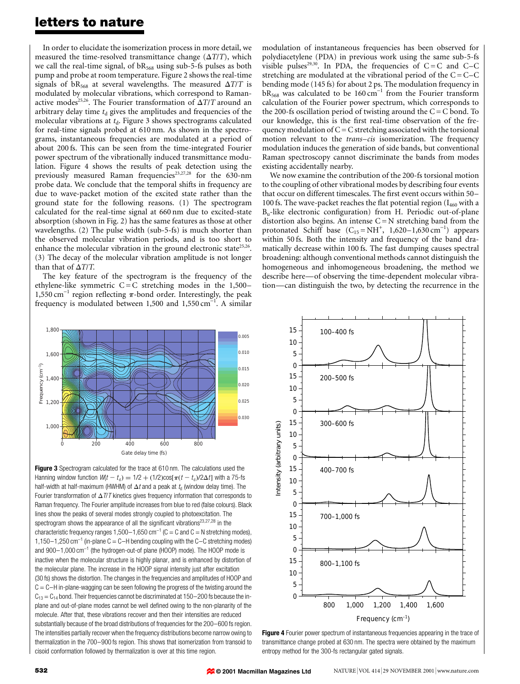### letters to nature

In order to elucidate the isomerization process in more detail, we measured the time-resolved transmittance change  $(\Delta T/T)$ , which we call the real-time signal, of  $bR_{568}$  using sub-5-fs pulses as both pump and probe at room temperature. Figure 2 shows the real-time signals of bR<sub>568</sub> at several wavelengths. The measured  $\Delta T/T$  is modulated by molecular vibrations, which correspond to Ramanactive modes<sup>25,26</sup>. The Fourier transformation of  $\Delta T/T$  around an arbitrary delay time  $t_d$  gives the amplitudes and frequencies of the molecular vibrations at  $t_d$ . Figure 3 shows spectrograms calculated for real-time signals probed at 610 nm. As shown in the spectrograms, instantaneous frequencies are modulated at a period of about 200 fs. This can be seen from the time-integrated Fourier power spectrum of the vibrationally induced transmittance modulation. Figure 4 shows the results of peak detection using the previously measured Raman frequencies<sup>23,27,28</sup> for the 630-nm probe data. We conclude that the temporal shifts in frequency are due to wave-packet motion of the excited state rather than the ground state for the following reasons. (1) The spectrogram calculated for the real-time signal at 660 nm due to excited-state absorption (shown in Fig. 2) has the same features as those at other wavelengths. (2) The pulse width (sub-5-fs) is much shorter than the observed molecular vibration periods, and is too short to enhance the molecular vibration in the ground electronic state<sup>25,26</sup>. (3) The decay of the molecular vibration amplitude is not longer than that of  $\Delta T/T$ .

The key feature of the spectrogram is the frequency of the ethylene-like symmetric  $C = C$  stretching modes in the 1,500-1,550 cm<sup>-1</sup> region reflecting  $\pi$ -bond order. Interestingly, the peak frequency is modulated between 1,500 and 1,550 cm<sup>-1</sup>. A similar



Figure 3 Spectrogram calculated for the trace at 610 nm. The calculations used the Hanning window function  $W(t - t_0) = 1/2 + (1/2)\cos[\pi (t - t_0)/2\Delta t]$  with a 75-fs half-width at half-maximum (HWHM) of  $\Delta t$  and a peak at  $t_d$  (window delay time). The Fourier transformation of  $\Delta T/T$  kinetics gives frequency information that corresponds to Raman frequency. The Fourier amplitude increases from blue to red (false colours). Black lines show the peaks of several modes strongly coupled to photoexcitation. The spectrogram shows the appearance of all the significant vibrations<sup>23,27,28</sup> in the characteristic frequency ranges 1,500-1,650 cm<sup>-1</sup> (C = C and C = N stretching modes), 1,150 $-1$ ,250 cm<sup>-1</sup> (in-plane C = C-H bending coupling with the C-C stretching modes) and  $900-1,000 \text{ cm}^{-1}$  (the hydrogen-out-of plane (HOOP) mode). The HOOP mode is inactive when the molecular structure is highly planar, and is enhanced by distortion of the molecular plane. The increase in the HOOP signal intensity just after excitation (30 fs) shows the distortion. The changes in the frequencies and amplitudes of HOOP and  $C = C - H$  in-plane-wagging can be seen following the progress of the twisting around the  $C_{13} = C_{14}$  bond. Their frequencies cannot be discriminated at 150-200 fs because the inplane and out-of-plane modes cannot be well defined owing to the non-planarity of the molecule. After that, these vibrations recover and then their intensities are reduced substantially because of the broad distributions of frequencies for the 200-600 fs region. The intensities partially recover when the frequency distributions become narrow owing to thermalization in the 700-900 fs region. This shows that isomerization from transoid to cisoid conformation followed by thermalization is over at this time region.

modulation of instantaneous frequencies has been observed for polydiacetylene (PDA) in previous work using the same sub-5-fs visible pulses<sup>29,30</sup>. In PDA, the frequencies of  $C = C$  and  $C-C$ stretching are modulated at the vibrational period of the  $C = C - C$ bending mode (145 fs) for about 2 ps. The modulation frequency in  $bR_{568}$  was calculated to be 160 cm<sup>-1</sup> from the Fourier transform calculation of the Fourier power spectrum, which corresponds to the 200-fs oscillation period of twisting around the  $C = C$  bond. To our knowledge, this is the first real-time observation of the frequency modulation of  $C = C$  stretching associated with the torsional motion relevant to the *trans-cis* isomerization. The frequency modulation induces the generation of side bands, but conventional Raman spectroscopy cannot discriminate the bands from modes existing accidentally nearby.

We now examine the contribution of the 200-fs torsional motion to the coupling of other vibrational modes by describing four events that occur on different timescales. The first event occurs within 50-100 fs. The wave-packet reaches the flat potential region ( $I_{460}$  with a  $B<sub>u</sub>$ -like electronic configuration) from H. Periodic out-of-plane distortion also begins. An intense  $C = N$  stretching band from the protonated Schiff base  $(C_{15} = NH^+$ , 1,620–1,630 cm<sup>-1</sup>) appears within 50 fs. Both the intensity and frequency of the band dramatically decrease within 100 fs. The fast dumping causes spectral broadening: although conventional methods cannot distinguish the homogeneous and inhomogeneous broadening, the method we describe here—of observing the time-dependent molecular vibration—can distinguish the two, by detecting the recurrence in the



Figure 4 Fourier power spectrum of instantaneous frequencies appearing in the trace of transmittance change probed at 630 nm. The spectra were obtained by the maximum entropy method for the 300-fs rectangular gated signals.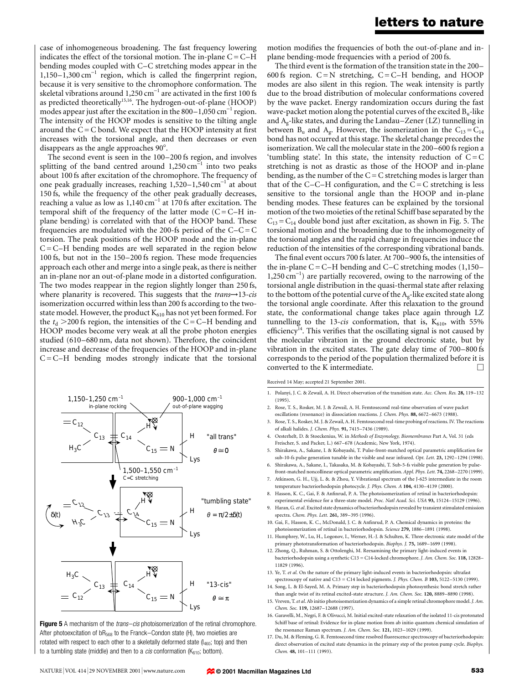### letters to nature

case of inhomogeneous broadening. The fast frequency lowering indicates the effect of the torsional motion. The in-plane  $C = C - H$ bending modes coupled with C–C stretching modes appear in the  $1,150-1,300$  cm<sup>-1</sup> region, which is called the fingerprint region, because it is very sensitive to the chromophore conformation. The skeletal vibrations around 1,250  $cm^{-1}$  are activated in the first 100 fs as predicted theoretically<sup>15,16</sup>. The hydrogen-out-of-plane (HOOP) modes appear just after the excitation in the  $800-1,050$  cm<sup>-1</sup> region. The intensity of the HOOP modes is sensitive to the tilting angle around the  $C = C$  bond. We expect that the HOOP intensity at first increases with the torsional angle, and then decreases or even disappears as the angle approaches 90°.

The second event is seen in the 100-200 fs region, and involves splitting of the band centred around  $1,250 \text{ cm}^{-1}$  into two peaks about 100 fs after excitation of the chromophore. The frequency of one peak gradually increases, reaching  $1,520-1,540$  cm<sup>-1</sup> at about 150 fs, while the frequency of the other peak gradually decreases, reaching a value as low as  $1,140 \text{ cm}^{-1}$  at 170 fs after excitation. The temporal shift of the frequency of the latter mode  $(C = C - H$  inplane bending) is correlated with that of the HOOP band. These frequencies are modulated with the 200-fs period of the  $C-C=C$ torsion. The peak positions of the HOOP mode and the in-plane  $C = C - H$  bending modes are well separated in the region below 100 fs, but not in the 150-200 fs region. These mode frequencies approach each other and merge into a single peak, as there is neither an in-plane nor an out-of-plane mode in a distorted configuration. The two modes reappear in the region slightly longer than 250 fs, where planarity is recovered. This suggests that the  $trans \rightarrow 13-cis$ isomerization occurred within less than 200 fs according to the twostate model. However, the product  $K_{610}$  has not yet been formed. For the  $t_d > 200$  fs region, the intensities of the C = C–H bending and HOOP modes become very weak at all the probe photon energies studied (610-680 nm, data not shown). Therefore, the coincident increase and decrease of the frequencies of the HOOP and in-plane  $C = C - H$  bending modes strongly indicate that the torsional



Figure 5 A mechanism of the *trans-cis* photoisomerization of the retinal chromophore. After photoexcitation of  $bR_{568}$  to the Franck-Condon state (H), two moieties are rotated with respect to each other to a skeletally deformed state  $(I_{460};$  top) and then to a tumbling state (middle) and then to a *cis* conformation ( $K_{610}$ ; bottom).

motion modifies the frequencies of both the out-of-plane and inplane bending-mode frequencies with a period of 200 fs.

The third event is the formation of the transition state in the 200– 600 fs region.  $C = N$  stretching,  $C = C-H$  bending, and HOOP modes are also silent in this region. The weak intensity is partly due to the broad distribution of molecular conformations covered by the wave packet. Energy randomization occurs during the fast wave-packet motion along the potential curves of the excited Bu-like and  $A_{\varphi}$ -like states, and during the Landau-Zener (LZ) tunnelling in between  $B_u$  and  $A_g$ . However, the isomerization in the  $C_{13} = C_{14}$ bond has not occurred at this stage. The skeletal change precedes the isomerization. We call the molecular state in the 200–600 fs region a 'tumbling state'. In this state, the intensity reduction of  $C = C$ stretching is not as drastic as those of the HOOP and in-plane bending, as the number of the  $C = C$  stretching modes is larger than that of the C $-C-H$  configuration, and the  $C = C$  stretching is less sensitive to the torsional angle than the HOOP and in-plane bending modes. These features can be explained by the torsional motion of the two moieties of the retinal Schiff base separated by the  $C_{13} = C_{14}$  double bond just after excitation, as shown in Fig. 5. The torsional motion and the broadening due to the inhomogeneity of the torsional angles and the rapid change in frequencies induce the reduction of the intensities of the corresponding vibrational bands.

The final event occurs 700 fs later. At 700-900 fs, the intensities of the in-plane C = C-H bending and C-C stretching modes  $(1,150-$ 1,250 cm<sup>-1</sup>) are partially recovered, owing to the narrowing of the torsional angle distribution in the quasi-thermal state after relaxing to the bottom of the potential curve of the  $A_{\varphi}$ -like excited state along the torsional angle coordinate. After this relaxation to the ground state, the conformational change takes place again through LZ tunnelling to the 13-cis conformation, that is,  $K_{610}$ , with 55% efficiency<sup>14</sup>. This verifies that the oscillating signal is not caused by the molecular vibration in the ground electronic state, but by vibration in the excited states. The gate delay time of 700-800 fs corresponds to the period of the population thermalized before it is converted to the K intermediate.  $\Box$ 

Received 14 May; accepted 21 September 2001.

- 1. Polanyi, J. C. & Zewail, A. H. Direct observation of the transition state. Acc. Chem. Res. 28, 119–132 (1995).
- 2. Rose, T. S., Rosker, M. J. & Zewail, A. H. Femtosecond real-time observation of wave packet oscillations (resonance) in dissociation reactions. J. Chem. Phys. 88, 6672-6673 (1988).
- 3. Rose, T. S., Rosker, M. J. & Zewail, A. H. Femtosecond real-time probing of reactions. IV. The reactions of alkali halides. J. Chem. Phys. 91, 7415-7436 (1989).
- 4. Oesterhelt, D. & Stoeckenius, W. in Methods of Enzymology, Biomembranes Part A, Vol. 31 (eds Freischer, S. and Packer, L.) 667-678 (Academic, New York, 1974).
- 5. Shirakawa, A., Sakane, I. & Kobayashi, T. Pulse-front-matched optical parametric amplification for sub-10-fs pulse generation tunable in the visible and near infrared. Opt. Lett. 23, 1292-1294 (1998).
- 6. Shirakawa, A., Sakane, I., Takasaka, M. & Kobayashi, T. Sub-5-fs visible pulse generation by pulsefront-matched noncollinear optical parametric amplification. Appl. Phys. Lett. 74, 2268-2270 (1999).
- 7. Atkinson, G. H., Ujj, L. &. & Zhou, Y. Vibrational spectrum of the J-625 intermediate in the room temperature bacteriorhodopsin photocycle. J. Phys. Chem. A 104, 4130-4139 (2000).
- 8. Hasson, K. C., Gai, F. & Anfinrud, P. A. The photoisomerization of retinal in bacteriorhodopsin: experimental evidence for a three-state model. Proc. Natl Acad. Sci. USA 93, 15124-15129 (1996).
- 9. Haran, G. et al. Excited state dynamics of bacteriorhodopsin revealed by transient stimulated emission spectra. Chem. Phys. Lett. 261, 389-395 (1996).
- 10. Gai, F., Hasson, K. C., McDonald, J. C. & Anfinrud, P. A. Chemical dynamics in proteins: the photoisomerization of retinal in bacteriorhodopsin. Science 279, 1886-1891 (1998).
- 11. Humphrey, W., Lu, H., Logonov, I., Werner, H.-J. & Schulten, K. Three electronic state model of the primary phototransformation of bacteriorhodopsin. Biophys. J. 75, 1689-1699 (1998).
- 12. Zhong, Q., Ruhman, S. & Ottolenghi, M. Reexamining the primary light-induced events in bacteriorhodopsin using a synthetic C13 = C14-locked chromophore. J. Am. Chem. Soc. 118, 12828-11829 (1996).
- 13. Ye, T. et al. On the nature of the primary light-induced events in bacteriorhodopsin: ultrafast spectroscopy of native and C13 = C14 locked pigments. *J. Phys. Chem. B* 103, 5122-5130 (1999).
- 14. Song, L. & El-Sayed, M. A. Primary step in bacteriorhodopsin photosynthesis: bond stretch rather than angle twist of its retinal excited-state structure. J. Am. Chem. Soc. 120, 8889-8890 (1998).
- 15. Vreven, T.et al. Ab initio photoisomerization dynamics of a simple retinal chromophore model.J. Am. Chem. Soc. 119, 12687-12688 (1997).
- 16. Garavelli, M., Negri, F. & Olivucci, M. Initial excited-state relaxation of the isolated 11-cis protonated Schiff base of retinal: Evidence for in-plane motion from ab initio quantum chemical simulation of the resonance Raman spectrum. J. Am. Chem. Soc. 121, 1023-1029 (1999).
- 17. Du, M. & Fleming, G. R. Femtosecond time resolved fluorescence spectroscopy of bacteriorhodopsin: direct observation of excited state dynamics in the primary step of the proton pump cycle. Biophys. Chem. 48, 101-111 (1993).